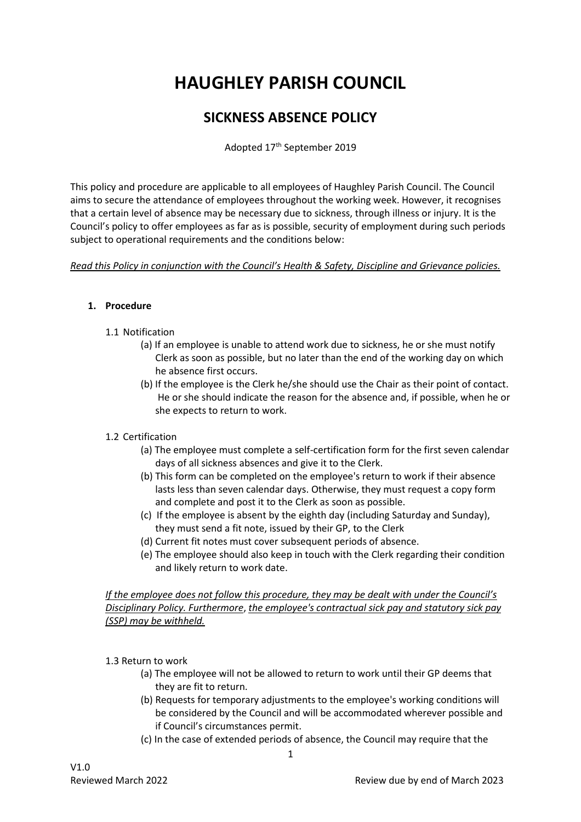# **HAUGHLEY PARISH COUNCIL**

# **SICKNESS ABSENCE POLICY**

Adopted 17<sup>th</sup> September 2019

This policy and procedure are applicable to all employees of Haughley Parish Council. The Council aims to secure the attendance of employees throughout the working week. However, it recognises that a certain level of absence may be necessary due to sickness, through illness or injury. It is the Council's policy to offer employees as far as is possible, security of employment during such periods subject to operational requirements and the conditions below:

*Read this Policy in conjunction with the Council's Health & Safety, Discipline and Grievance policies.* 

#### **1. Procedure**

- 1.1 Notification
	- (a) If an employee is unable to attend work due to sickness, he or she must notify Clerk as soon as possible, but no later than the end of the working day on which he absence first occurs.
	- (b) If the employee is the Clerk he/she should use the Chair as their point of contact. He or she should indicate the reason for the absence and, if possible, when he or she expects to return to work.

# 1.2 Certification

- (a) The employee must complete a self-certification form for the first seven calendar days of all sickness absences and give it to the Clerk.
- (b) This form can be completed on the employee's return to work if their absence lasts less than seven calendar days. Otherwise, they must request a copy form and complete and post it to the Clerk as soon as possible.
- (c) If the employee is absent by the eighth day (including Saturday and Sunday), they must send a fit note, issued by their GP, to the Clerk
- (d) Current fit notes must cover subsequent periods of absence.
- (e) The employee should also keep in touch with the Clerk regarding their condition and likely return to work date.

*If the employee does not follow this procedure, they may be dealt with under the Council's Disciplinary Policy. Furthermore*, *the employee's contractual sick pay and statutory sick pay (SSP) may be withheld.* 

1.3 Return to work

- (a) The employee will not be allowed to return to work until their GP deems that they are fit to return.
- (b) Requests for temporary adjustments to the employee's working conditions will be considered by the Council and will be accommodated wherever possible and if Council's circumstances permit.
- (c) In the case of extended periods of absence, the Council may require that the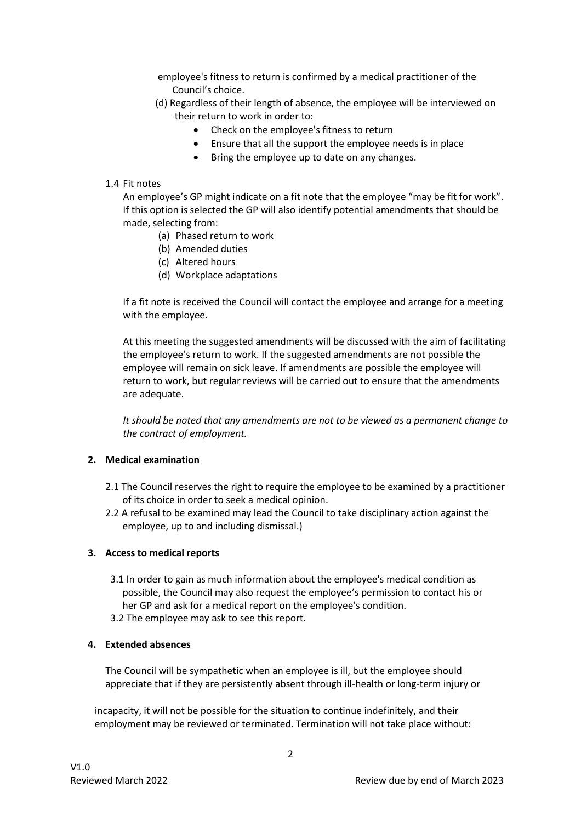employee's fitness to return is confirmed by a medical practitioner of the Council's choice.

- (d) Regardless of their length of absence, the employee will be interviewed on their return to work in order to:
	- Check on the employee's fitness to return
	- Ensure that all the support the employee needs is in place
	- Bring the employee up to date on any changes.

#### 1.4 Fit notes

An employee's GP might indicate on a fit note that the employee "may be fit for work". If this option is selected the GP will also identify potential amendments that should be made, selecting from:

- (a) Phased return to work
- (b) Amended duties
- (c) Altered hours
- (d) Workplace adaptations

If a fit note is received the Council will contact the employee and arrange for a meeting with the employee.

At this meeting the suggested amendments will be discussed with the aim of facilitating the employee's return to work. If the suggested amendments are not possible the employee will remain on sick leave. If amendments are possible the employee will return to work, but regular reviews will be carried out to ensure that the amendments are adequate.

*It should be noted that any amendments are not to be viewed as a permanent change to the contract of employment.* 

# **2. Medical examination**

- 2.1 The Council reserves the right to require the employee to be examined by a practitioner of its choice in order to seek a medical opinion.
- 2.2 A refusal to be examined may lead the Council to take disciplinary action against the employee, up to and including dismissal.)

# **3. Access to medical reports**

- 3.1 In order to gain as much information about the employee's medical condition as possible, the Council may also request the employee's permission to contact his or her GP and ask for a medical report on the employee's condition.
- 3.2 The employee may ask to see this report.

# **4. Extended absences**

The Council will be sympathetic when an employee is ill, but the employee should appreciate that if they are persistently absent through ill-health or long-term injury or

 incapacity, it will not be possible for the situation to continue indefinitely, and their employment may be reviewed or terminated. Termination will not take place without: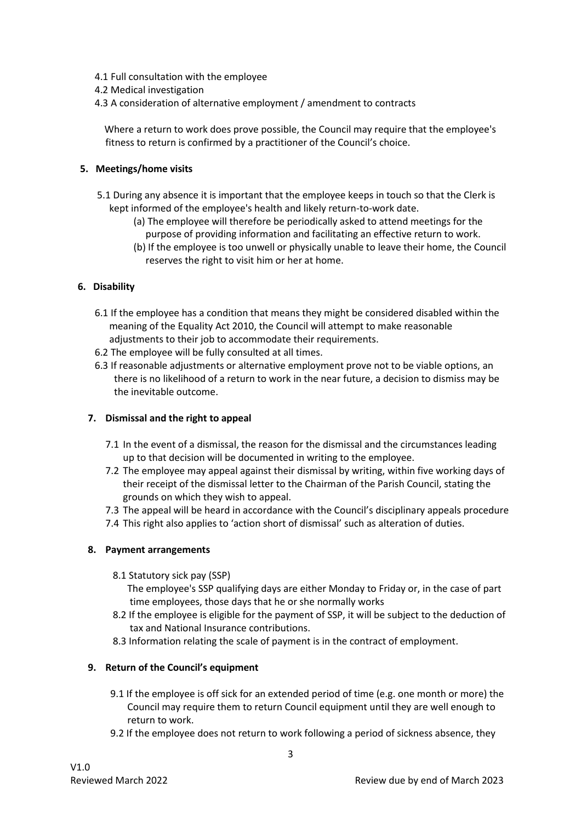- 4.1 Full consultation with the employee
- 4.2 Medical investigation
- 4.3 A consideration of alternative employment / amendment to contracts

 Where a return to work does prove possible, the Council may require that the employee's fitness to return is confirmed by a practitioner of the Council's choice.

#### **5. Meetings/home visits**

- 5.1 During any absence it is important that the employee keeps in touch so that the Clerk is kept informed of the employee's health and likely return-to-work date.
	- (a) The employee will therefore be periodically asked to attend meetings for the purpose of providing information and facilitating an effective return to work.
	- (b) If the employee is too unwell or physically unable to leave their home, the Council reserves the right to visit him or her at home.

#### **6. Disability**

- 6.1 If the employee has a condition that means they might be considered disabled within the meaning of the Equality Act 2010, the Council will attempt to make reasonable adjustments to their job to accommodate their requirements.
- 6.2 The employee will be fully consulted at all times.
- 6.3 If reasonable adjustments or alternative employment prove not to be viable options, an there is no likelihood of a return to work in the near future, a decision to dismiss may be the inevitable outcome.

# **7. Dismissal and the right to appeal**

- 7.1 In the event of a dismissal, the reason for the dismissal and the circumstances leading up to that decision will be documented in writing to the employee.
- 7.2 The employee may appeal against their dismissal by writing, within five working days of their receipt of the dismissal letter to the Chairman of the Parish Council, stating the grounds on which they wish to appeal.
- 7.3 The appeal will be heard in accordance with the Council's disciplinary appeals procedure
- 7.4 This right also applies to 'action short of dismissal' such as alteration of duties.

#### **8. Payment arrangements**

8.1 Statutory sick pay (SSP)

 The employee's SSP qualifying days are either Monday to Friday or, in the case of part time employees, those days that he or she normally works

- 8.2 If the employee is eligible for the payment of SSP, it will be subject to the deduction of tax and National Insurance contributions.
- 8.3 Information relating the scale of payment is in the contract of employment.

#### **9. Return of the Council's equipment**

- 9.1 If the employee is off sick for an extended period of time (e.g. one month or more) the Council may require them to return Council equipment until they are well enough to return to work.
- 9.2 If the employee does not return to work following a period of sickness absence, they